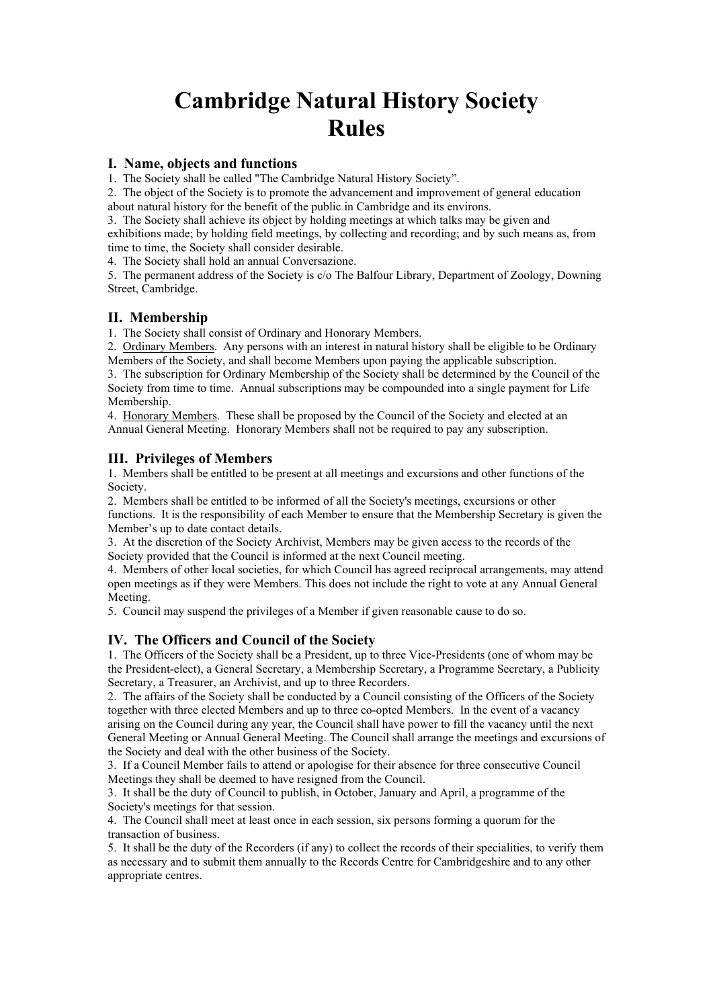# **Cambridge Natural History Society Rules**

### **I. Name, objects and functions**

1. The Society shall be called "The Cambridge Natural History Society".

2. The object of the Society is to promote the advancement and improvement of general education about natural history for the benefit of the public in Cambridge and its environs.

3. The Society shall achieve its object by holding meetings at which talks may be given and exhibitions made; by holding field meetings, by collecting and recording; and by such means as, from time to time, the Society shall consider desirable.

4. The Society shall hold an annual Conversazione.

5. The permanent address of the Society is c/o The Balfour Library, Department of Zoology, Downing Street, Cambridge.

#### **II. Membership**

1. The Society shall consist of Ordinary and Honorary Members.

2. Ordinary Members. Any persons with an interest in natural history shall be eligible to be Ordinary Members of the Society, and shall become Members upon paying the applicable subscription.

3. The subscription for Ordinary Membership of the Society shall be determined by the Council of the Society from time to time. Annual subscriptions may be compounded into a single payment for Life Membership.

4. Honorary Members. These shall be proposed by the Council of the Society and elected at an Annual General Meeting. Honorary Members shall not be required to pay any subscription.

### **III. Privileges of Members**

1. Members shall be entitled to be present at all meetings and excursions and other functions of the Society.

2. Members shall be entitled to be informed of all the Society's meetings, excursions or other functions. It is the responsibility of each Member to ensure that the Membership Secretary is given the Member's up to date contact details.

3. At the discretion of the Society Archivist, Members may be given access to the records of the Society provided that the Council is informed at the next Council meeting.

4. Members of other local societies, for which Council has agreed reciprocal arrangements, may attend open meetings as if they were Members. This does not include the right to vote at any Annual General Meeting.

5. Council may suspend the privileges of a Member if given reasonable cause to do so.

### **IV. The Officers and Council of the Society**

1. The Officers of the Society shall be a President, up to three Vice-Presidents (one of whom may be the President-elect), a General Secretary, a Membership Secretary, a Programme Secretary, a Publicity Secretary, a Treasurer, an Archivist, and up to three Recorders.

2. The affairs of the Society shall be conducted by a Council consisting of the Officers of the Society together with three elected Members and up to three co-opted Members. In the event of a vacancy arising on the Council during any year, the Council shall have power to fill the vacancy until the next General Meeting or Annual General Meeting. The Council shall arrange the meetings and excursions of the Society and deal with the other business of the Society.

3. If a Council Member fails to attend or apologise for their absence for three consecutive Council Meetings they shall be deemed to have resigned from the Council.

3. It shall be the duty of Council to publish, in October, January and April, a programme of the Society's meetings for that session.

4. The Council shall meet at least once in each session, six persons forming a quorum for the transaction of business.

5. It shall be the duty of the Recorders (if any) to collect the records of their specialities, to verify them as necessary and to submit them annually to the Records Centre for Cambridgeshire and to any other appropriate centres.